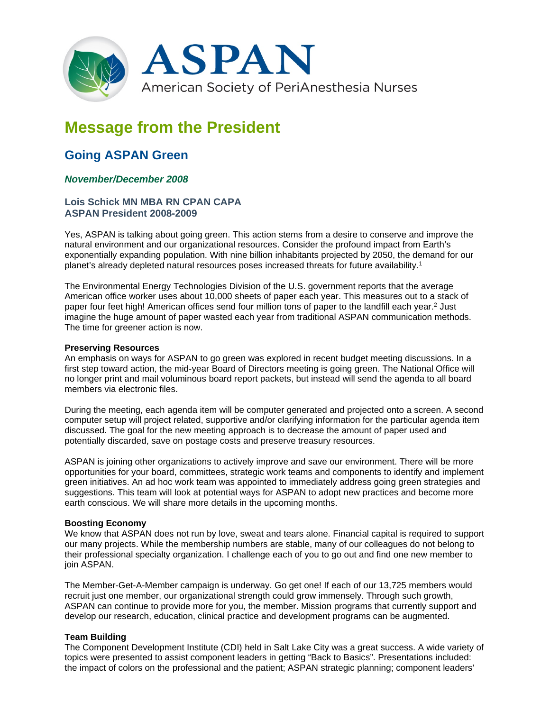

# **Message from the President**

## **Going ASPAN Green**

### *November/December 2008*

#### **Lois Schick MN MBA RN CPAN CAPA ASPAN President 2008-2009**

Yes, ASPAN is talking about going green. This action stems from a desire to conserve and improve the natural environment and our organizational resources. Consider the profound impact from Earth's exponentially expanding population. With nine billion inhabitants projected by 2050, the demand for our planet's already depleted natural resources poses increased threats for future availability.1

The Environmental Energy Technologies Division of the U.S. government reports that the average American office worker uses about 10,000 sheets of paper each year. This measures out to a stack of paper four feet high! American offices send four million tons of paper to the landfill each year.<sup>2</sup> Just imagine the huge amount of paper wasted each year from traditional ASPAN communication methods. The time for greener action is now.

#### **Preserving Resources**

An emphasis on ways for ASPAN to go green was explored in recent budget meeting discussions. In a first step toward action, the mid-year Board of Directors meeting is going green. The National Office will no longer print and mail voluminous board report packets, but instead will send the agenda to all board members via electronic files.

During the meeting, each agenda item will be computer generated and projected onto a screen. A second computer setup will project related, supportive and/or clarifying information for the particular agenda item discussed. The goal for the new meeting approach is to decrease the amount of paper used and potentially discarded, save on postage costs and preserve treasury resources.

ASPAN is joining other organizations to actively improve and save our environment. There will be more opportunities for your board, committees, strategic work teams and components to identify and implement green initiatives. An ad hoc work team was appointed to immediately address going green strategies and suggestions. This team will look at potential ways for ASPAN to adopt new practices and become more earth conscious. We will share more details in the upcoming months.

#### **Boosting Economy**

We know that ASPAN does not run by love, sweat and tears alone. Financial capital is required to support our many projects. While the membership numbers are stable, many of our colleagues do not belong to their professional specialty organization. I challenge each of you to go out and find one new member to join ASPAN.

The Member-Get-A-Member campaign is underway. Go get one! If each of our 13,725 members would recruit just one member, our organizational strength could grow immensely. Through such growth, ASPAN can continue to provide more for you, the member. Mission programs that currently support and develop our research, education, clinical practice and development programs can be augmented.

#### **Team Building**

The Component Development Institute (CDI) held in Salt Lake City was a great success. A wide variety of topics were presented to assist component leaders in getting "Back to Basics". Presentations included: the impact of colors on the professional and the patient; ASPAN strategic planning; component leaders'